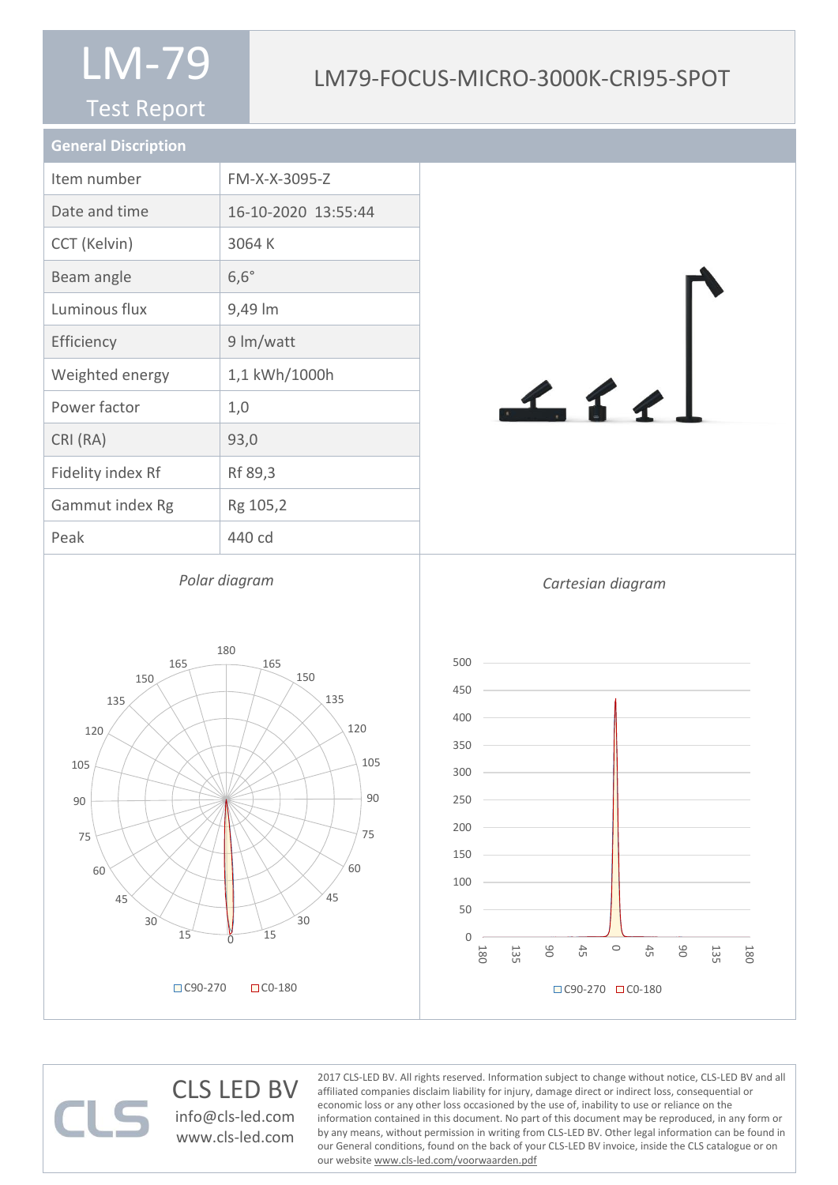#### Test Report

#### LM79-FOCUS-MICRO-3000K-CRI95-SPOT

| <b>General Discription</b> |                     |
|----------------------------|---------------------|
| Item number                | FM-X-X-3095-Z       |
| Date and time              | 16-10-2020 13:55:44 |
| CCT (Kelvin)               | 3064 K              |
| Beam angle                 | $6,6^\circ$         |
| Luminous flux              | 9,49 lm             |
| Efficiency                 | 9 lm/watt           |
| Weighted energy            | 1,1 kWh/1000h       |
| Power factor               | 1,0                 |
| CRI (RA)                   | 93,0                |
| Fidelity index Rf          | Rf 89,3             |
| Gammut index Rg            | Rg 105,2            |
| Peak                       | 440 cd              |











#### CLS LED BV info@cls-led.com www.cls-led.com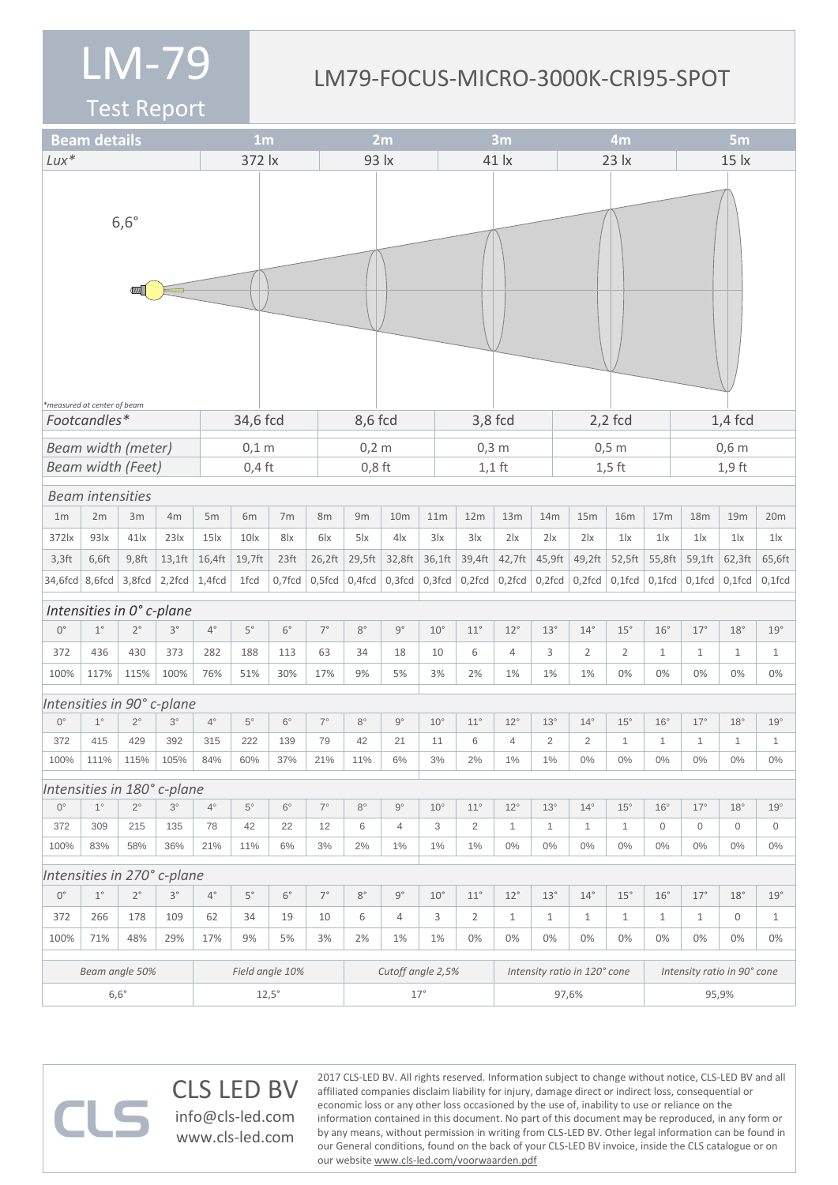#### LM79-FOCUS-MICRO-3000K-CRI95-SPOT

2017 CLS-LED BV. All rights reserved. Information subject to change without notice, CLS-LED BV and all affiliated companies disclaim liability for injury, damage direct or indirect loss, consequential or economic loss or any other loss occasioned by the use of, inability to use or reliance on the

information contained in this document. No part of this document may be reproduced, in any form or by any means, without permission in writing from CLS-LED BV. Other legal information can be found in our General conditions, found on the back of your CLS-LED BV invoice, inside the CLS catalogue or on

Test Report

|                                            | <b>Beam details</b>      |             |                             |              | 1 <sub>m</sub>  |                  |                 | 2m                             |                   |              | 3m        |                |                |                              | 4m             |                                 |              | 5 <sub>m</sub>              |              |                           |  |
|--------------------------------------------|--------------------------|-------------|-----------------------------|--------------|-----------------|------------------|-----------------|--------------------------------|-------------------|--------------|-----------|----------------|----------------|------------------------------|----------------|---------------------------------|--------------|-----------------------------|--------------|---------------------------|--|
| $Lux*$                                     |                          |             |                             |              | 372 lx          |                  |                 | 93 lx                          |                   |              | 41 lx     |                |                |                              |                | $23$ $\overline{\phantom{1}}$ x |              | 15 <sub>ix</sub>            |              |                           |  |
| $6,6^\circ$<br>*measured at center of beam |                          |             |                             |              |                 |                  |                 |                                |                   |              |           |                |                |                              |                |                                 |              |                             |              |                           |  |
|                                            | Footcandles*<br>34,6 fcd |             |                             |              |                 |                  | 8,6 fcd         |                                |                   |              | $3,8$ fcd |                |                | $2,2$ fcd                    |                |                                 | $1,4$ fcd    |                             |              |                           |  |
| Beam width (meter)                         |                          |             |                             |              | $0,1$ m         |                  |                 | $0,2$ m                        |                   |              | $0,3$ m   |                |                |                              |                | $0,5$ m                         |              | $0,6$ m                     |              |                           |  |
|                                            | <b>Beam width (Feet)</b> |             |                             |              | $0,4$ ft        |                  |                 | $0,8$ ft                       |                   |              |           | $1,1$ ft       |                |                              |                | $1,5$ ft                        |              | $1,9$ ft                    |              |                           |  |
|                                            | <b>Beam intensities</b>  |             |                             |              |                 |                  |                 |                                |                   |              |           |                |                |                              |                |                                 |              |                             |              |                           |  |
| 1 <sub>m</sub>                             | 2m                       | 3m          | 4m                          | 5m           | 6m              | 7m               | 8m              | 9m                             | 10 <sub>m</sub>   | 11m          |           | 12m            | 13m            | 14m                          | 15m            | <b>16m</b>                      | 17m          | 18m                         | 19m          | 20m                       |  |
| 372 lx                                     | 93 x                     | $41$ $x$    | 23x                         | 15k          | 10 <sub>x</sub> | 8 <sub>lx</sub>  | 6 <sub>lx</sub> | $5\,$ $\overline{\phantom{a}}$ | 4x                | 3 x          |           | 3 x            | 2 x            | 2 x                          | 2 x            | $1\text{lx}$                    | $1\text{lx}$ | 1 <sub>x</sub>              | 1 x          | $1$ $\mathsf{l}$ $\times$ |  |
| $3,3$ ft                                   | 6,6ft                    | $9,8$ ft    | $13,1$ ft                   | 16,4ft       | 19,7ft          | 23 <sup>ft</sup> | 26,2ft          | 29,5ft                         | 32,8ft            | 36,1ft       |           | 39,4ft         | 42,7ft         | 45,9ft                       | 49,2ft         | 52,5ft                          | 55,8ft       | 59,1ft                      | 62,3ft       | 65,6ft                    |  |
| 34,6fcd 8,6fcd                             |                          | 3,8fcd      | $2,2$ fcd   1,4fcd          |              | 1fcd            | $0,7$ fcd        | $0,5$ fcd       | $0,4$ fcd                      | $0,3$ fcd         | $0,3$ fcd    |           | $0,2$ fcd      | $0,2$ fcd      | $0,2$ fcd                    | $\big $ 0,2fcd | $0,1$ fcd                       | $0,1$ fcd    | $0,1$ fcd                   | $0,1$ fcd    | $0,1$ fcd                 |  |
| Intensities in 0° c-plane                  |                          |             |                             |              |                 |                  |                 |                                |                   |              |           |                |                |                              |                |                                 |              |                             |              |                           |  |
| $0^{\circ}$                                | $1^{\circ}$              | $2^{\circ}$ | $3^{\circ}$                 | $4^{\circ}$  | $5^{\circ}$     | $6^{\circ}$      | $7^{\circ}$     | $8^{\circ}$                    | $9^{\circ}$       | $10^{\circ}$ |           | $11^{\circ}$   | $12^{\circ}$   | $13^\circ$                   | $14^{\circ}$   | $15^{\circ}$                    | $16^{\circ}$ | $17^{\circ}$                | 18°          | 19°                       |  |
| 372                                        | 436                      | 430         | 373                         | 282          | 188             | 113              | 63              | 34                             | 18                | 10           |           | 6              | 4              | 3                            | $\overline{2}$ | $\overline{2}$                  | $\mathbf{1}$ | $\mathbf{1}$                | $\mathbf{1}$ | $\mathbf{1}$              |  |
| 100%                                       | 117%                     | 115%        | 100%                        | 76%          | 51%             | 30%              | 17%             | 9%                             | 5%                | 3%           |           | 2%             | 1%             | 1%                           | 1%             | 0%                              | 0%           | 0%                          | 0%           | 0%                        |  |
|                                            |                          |             | Intensities in 90° c-plane  |              |                 |                  |                 |                                |                   |              |           |                |                |                              |                |                                 |              |                             |              |                           |  |
| $0^{\circ}$                                | $1^{\circ}$              | $2^{\circ}$ | $3^\circ$                   | $4^{\circ}$  | $5^{\circ}$     | $6^{\circ}$      | $7^{\circ}$     | $8^{\circ}$                    | $9^{\circ}$       | $10^{\circ}$ |           | $11^{\circ}$   | $12^{\circ}$   | $13^\circ$                   | $14^{\circ}$   | $15^{\circ}$                    | $16^{\circ}$ | $17^{\circ}$                | $18^\circ$   | 19°                       |  |
| 372                                        | 415                      | 429         | 392                         | 315          | 222             | 139              | 79              | 42                             | 21                | 11           |           | 6              | $\overline{4}$ | $\overline{2}$               | $\overline{c}$ | $\mathbf{1}$                    | 1            | 1                           | 1            | $\mathbf{1}$              |  |
| 100%                                       | 111%                     | 115%        | 105%                        | 84%          | 60%             | 37%              | 21%             | 11%                            | 6%                | 3%           |           | 2%             | 1%             | 1%                           | $0\%$          | $0\%$                           | $0\%$        | $0\%$                       | $0\%$        | $0\%$                     |  |
|                                            |                          |             | Intensities in 180° c-plane |              |                 |                  |                 |                                |                   |              |           |                |                |                              |                |                                 |              |                             |              |                           |  |
| $0^{\circ}$                                | $1^{\circ}$              | $2^{\circ}$ | $3^\circ$                   | $4^{\circ}$  | $5^{\circ}$     | $6^{\circ}$      | $7^\circ$       | $8^{\circ}$                    | $9^{\circ}$       | $10^{\circ}$ |           | $11^{\circ}$   | $12^{\circ}$   | $13^\circ$                   | $14^{\circ}$   | $15^{\circ}$                    | $16^{\circ}$ | $17^{\circ}$                | $18^{\circ}$ | 19°                       |  |
| 372                                        | 309                      | 215         | 135                         | 78           | 42              | 22               | 12              | 6                              | $\overline{4}$    | 3            |           | $\overline{2}$ | $\mathbf{1}$   | 1                            | $\mathbf{1}$   | $\mathbf{1}$                    | $\mathbf 0$  | $\mathbf 0$                 | $\mathbf 0$  | 0                         |  |
| 100%                                       | 83%                      | 58%         | 36%                         | 21%          | 11%             | 6%               | 3%              | $2\%$                          | 1%                | 1%           |           | $1\%$          | $0\%$          | $0\%$                        | $0\%$          | $0\%$                           | $0\%$        | $0\%$                       | $0\%$        | $0\%$                     |  |
|                                            |                          |             | Intensities in 270° c-plane |              |                 |                  |                 |                                |                   |              |           |                |                |                              |                |                                 |              |                             |              |                           |  |
| $\mathbb{O}^\circ$                         | $1^{\circ}$              | $2^{\circ}$ | $3^{\circ}$                 | $4^{\circ}$  | $5^{\circ}$     | $6^{\circ}$      | $7^{\circ}$     | $8^{\circ}$                    | $9^{\circ}$       | $10^{\circ}$ |           | $11^{\circ}$   | $12^{\circ}$   | 13°                          | $14^{\circ}$   | 15°                             | $16^{\circ}$ | $17^{\circ}$                | 18°          | 19°                       |  |
| 372                                        | 266                      | 178         | 109                         | 62           | 34              | 19               | 10              | 6                              | $\overline{4}$    | 3            |           | $\overline{2}$ | $\mathbf{1}$   | $\mathbf{1}$                 | $\mathbf{1}$   | $\mathbf{1}$                    | $\mathbf{1}$ | $\mathbf{1}$                | 0            | $\mathbf{1}$              |  |
| 100%                                       | 71%                      | 48%         | 29%                         | 17%          | 9%              | 5%               | 3%              | 2%                             | 1%                | 1%           |           | 0%             | 0%             | 0%                           | 0%             | 0%                              | 0%           | 0%                          | 0%           | 0%                        |  |
|                                            | Beam angle 50%           |             |                             |              | Field angle 10% |                  |                 |                                | Cutoff angle 2,5% |              |           |                |                | Intensity ratio in 120° cone |                |                                 |              | Intensity ratio in 90° cone |              |                           |  |
|                                            | $6,6^{\circ}$            |             |                             | $12,5^\circ$ |                 |                  |                 | $17^{\circ}$                   |                   |              |           |                |                | 97,6%                        |                |                                 | 95,9%        |                             |              |                           |  |

our website www.cls-led.com/voorwaarden.pdf

CLS LED BV info@cls-led.com www.cls-led.com

 $\Box$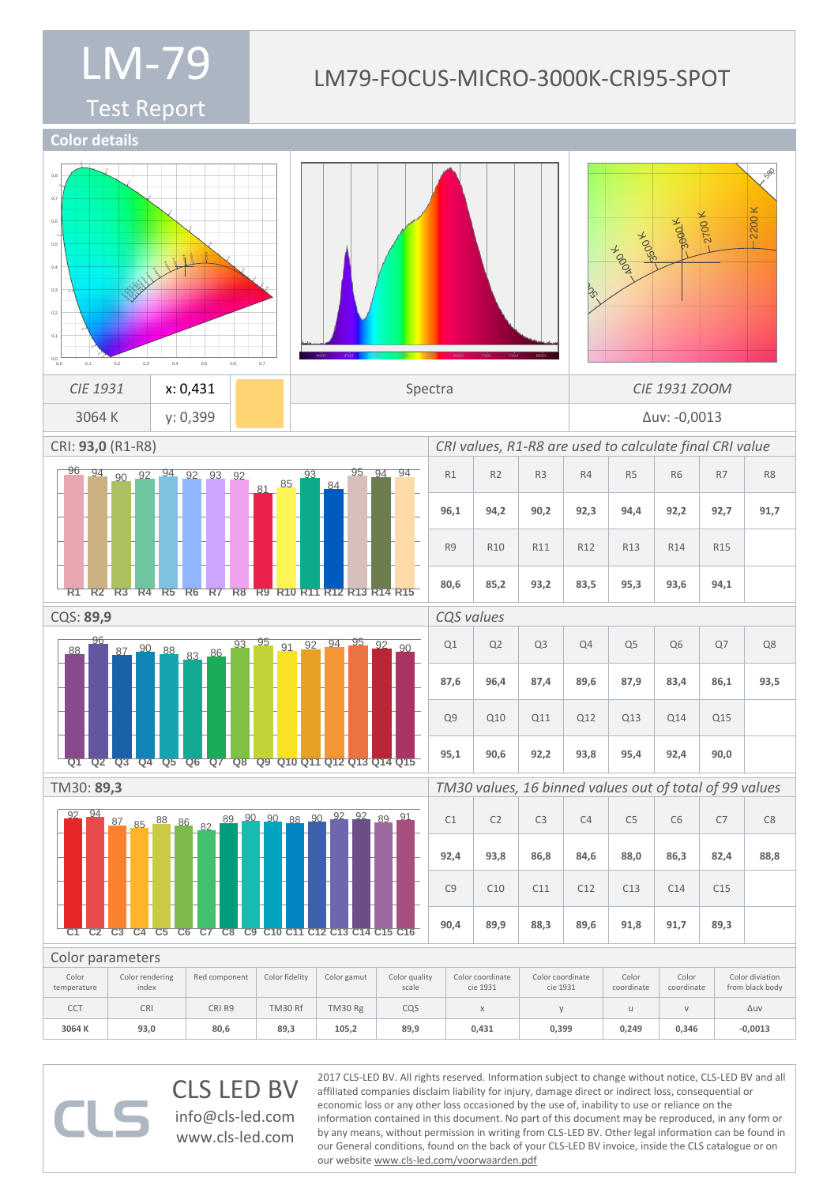#### LM79-FOCUS-MICRO-3000K-CRI95-SPOT

Test Report



CLS LED BV info@cls-led.com www.cls-led.com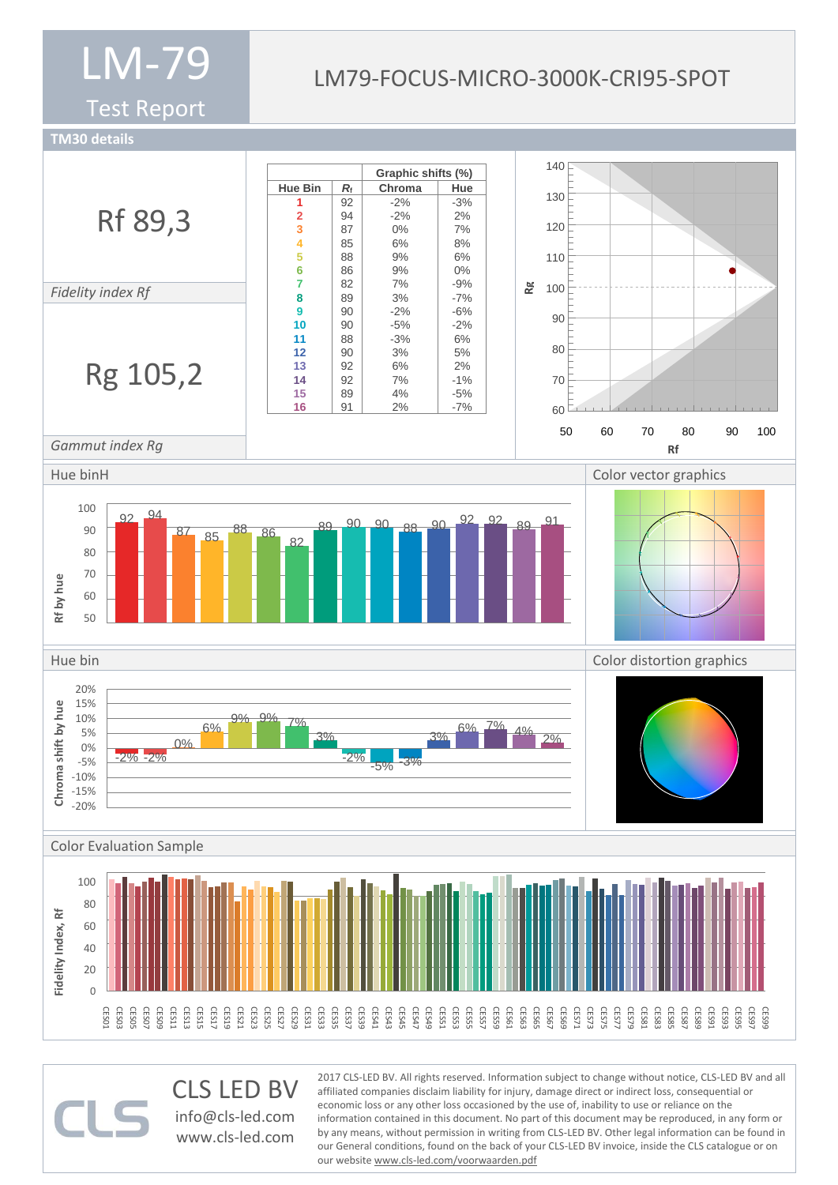Test Report

#### LM79-FOCUS-MICRO-3000K-CRI95-SPOT

**TM30 details**



CLS LED BV info@cls-led.com www.cls-led.com